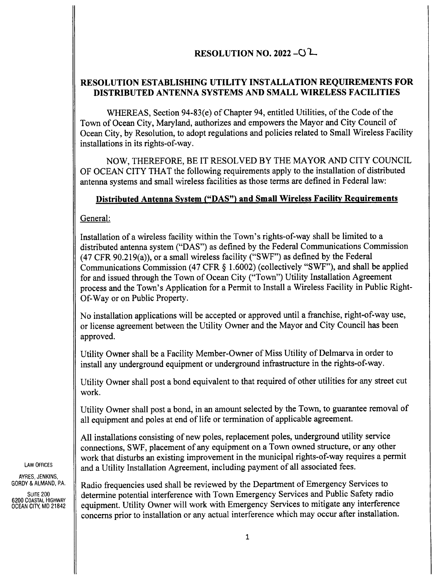# RESOLUTION NO. 2022 -  $O<sup>1</sup>$

## RESOLUTION ESTABLISHING UTILITY INSTALLATION REQUIREMENTS FOR DISTRIBUTED ANTENNA SYSTEMS AND SMALL WIRELESS FACILITIES

WHEREAS, Section 94-83(e) of Chapter 94, entitled Utilities, of the Code of the Town of Ocean City, Maryland, authorizes and empowers the Mayor and City Council of Ocean City, by Resolution, to adopt regulations and policies related to Small Wireless Facility installations in its rights-of-way.

NOW, THEREFORE, BE IT RESOLVED BY THE MAYOR AND CITY COUNCIL OF OCEAN CITY THAT the following requirements apply to the installation of distributed antenna systems and small wireless facilities as those terms are defined in Federal law:

#### Distributed Antenna System (" DAS") and Small Wireless Facility Requirements

General:

Installation of a wireless facility within the Town's rights-of-way shall be limited to a distributed antenna system (" DAS") as defined by the Federal Communications Commission  $(47 \text{ CFR } 90.219(a))$ , or a small wireless facility ("SWF") as defined by the Federal Communications Commission (47 CFR § 1.6002) (collectively "SWF"), and shall be applied for and issued through the Town of Ocean City (" Town") Utility Installation Agreement process and the Town's Application for a Permit to Install a Wireless Facility in Public Right-Of-Way or on Public Property.

No installation applications will be accepted or approved until a franchise, right-of-way use, or license agreement between the Utility Owner and the Mayor and City Council has been approved.

Utility Owner shall be a Facility Member- Owner of Miss Utility of Delmarva in order to install any underground equipment or underground infrastructure in the rights-of-way.

Utility Owner shall post <sup>a</sup> bond equivalent to that required of other utilities for any street cut work.

Utility Owner shall post a bond, in an amount selected by the Town, to guarantee removal of all equipment and poles at end of life or termination of applicable agreement.

All installations consisting of new poles, replacement poles, underground utility service connections, SWF, placement of any equipment on <sup>a</sup> Town owned structure, or any other work that disturbs an existing improvement in the municipal rights-of-way requires a permit  $\|\cdot\|$  and a Utility Installation Agreement, including payment of all associated fees.

AYRES, JENKINS,<br>GORDY & ALMAND, P.A.

SUITE 200<br>6200 COASTAL HIGHWAY<br>OCEAN CITY, MD 21842

Radio frequencies used shall be reviewed by the Department of Emergency Services to SUITE 200 determine potential interference with Town Emergency Services and Public Safety radio equipment. Utility Owner will work with Emergency Services to mitigate any interference concerns prior to installation or any actual interference which may occur after installation.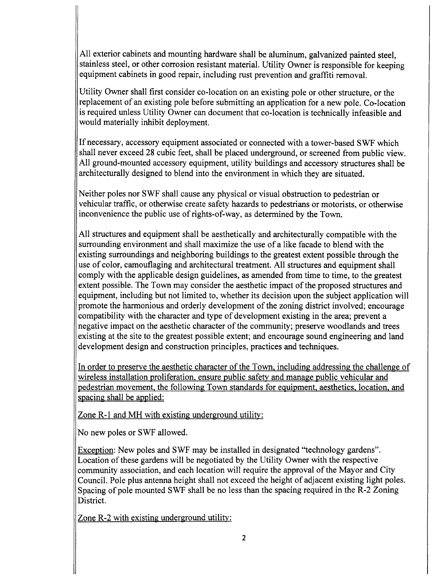All exterior cabinets and mounting hardware shall be aluminum, galvanized painted steel, stainless steel, or other corrosion resistant material. Utility Owner is responsible for keeping equipment cabinets in good repair, including rust prevention and graffiti removal.

Utility Owner shall first consider co- location on an existing pole or other structure, or the replacement of an existing pole before submitting an application for a new pole. Co- location is required unless Utility Owner can document that co- location is technically infeasible and would materially inhibit deployment.

If necessary, accessory equipment associated or connected with <sup>a</sup> tower-based SWF which shall never exceed 28 cubic feet, shall be placed underground, or screened from public view. All ground-mounted accessory equipment, utility buildings and accessory structures shall be architecturally designed to blend into the environment in which they are situated.

Neither poles nor SWF shall cause any physical or visual obstruction to pedestrian or vehicular traffic, or otherwise create safety hazards to pedestrians or motorists, or otherwise inconvenience the public use of rights-of-way, as determined by the Town.

All structures and equipment shall be aesthetically and architecturally compatible with the surrounding environment and shall maximize the use of a like facade to blend with the existing surroundings and neighboring buildings to the greatest extent possible through the use of color, camouflaging and architectural treatment. All structures and equipment shall comply with the applicable design guidelines, as amended from time to time, to the greatest extent possible. The Town may consider the aesthetic impact of the proposed structures and equipment, including but not limited to, whether its decision upon the subject application will promote the harmonious and orderly development of the zoning district involved; encourage compatibility with the character and type of development existing in the area; prevent a negative impact on the aesthetic character of the community; preserve woodlands and trees existing at the site to the greatest possible extent; and encourage sound engineering and land development design and construction principles, practices and techniques.

In order to preserve the aesthetic character of the Town, including addressing the challenge of wireless installation proliferation, ensure public safety and manage public vehicular and pedestrian movement, the following Town standards for equipment, aesthetics, location, and spacing shall be applied:

Zone R-1 and MH with existing underground utility:

No new poles or SWF allowed.

Exception: New poles and SWF may be installed in designated "technology gardens". Location of these gardens will be negotiated by the Utility Owner with the respective community association, and each location will require the approval of the Mayor and City Council. Pole plus antenna height shall not exceed the height of adjacent existing light poles. Spacing of pole mounted SWF shall be no less than the spacing required in the R-2 Zoning District.

Zone R-2 with existing underground utility: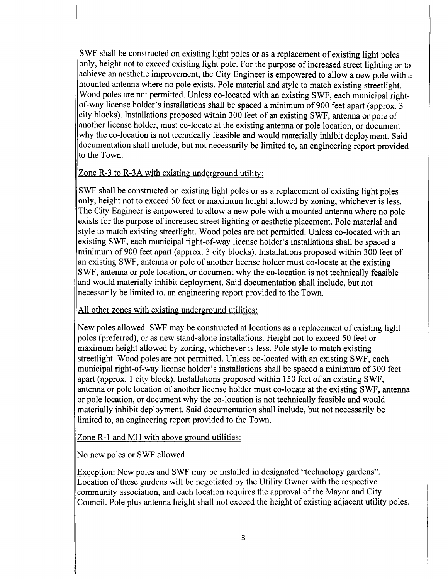SWF shall be constructed on existing light poles or as <sup>a</sup> replacement of existing light poles only, height not to exceed existing light pole. For the purpose of increased street lighting or to achieve an aesthetic improvement, the City Engineer is empowered to allow a new pole with a mounted antenna where no pole exists. Pole material and style to match existing streetlight. Wood poles are not permitted. Unless co- located with an existing SWF, each municipal rightof-way license holder's installations shall be spaced a minimum of 900 feet apart (approx. 3 city blocks). Installations proposed within 300 feet of an existing SWF, antenna or pole of another license holder, must co-locate at the existing antenna or pole location, or document why the co-location is not technically feasible and would materially inhibit deployment. Said documentation shall include, but not necessarily be limited to, an engineering report provided to the Town.

## Zone  $R-3$  to  $R-3A$  with existing underground utility:

SWF shall be constructed on existing light poles or as <sup>a</sup> replacement of existing light poles only, height not to exceed 50 feet or maximum height allowed by zoning, whichever is less. The City Engineer is empowered to allow a new pole with a mounted antenna where no pole exists for the purpose of increased street lighting or aesthetic placement. Pole material and style to match existing streetlight. Wood poles are not permitted. Unless co- located with an existing SWF, each municipal right-of-way license holder's installations shall be spaced a minimum of 900 feet apart (approx. 3 city blocks). Installations proposed within 300 feet of an existing SWF, antenna or pole of another license holder must co- locate at the existing SWF, antenna or pole location, or document why the co- location is not technically feasible and would materially inhibit deployment. Said documentation shall include, but not necessarily be limited to, an engineering report provided to the Town.

#### All other zones with existing underground utilities:

New poles allowed. SWF may be constructed at locations as <sup>a</sup> replacement of existing light poles ( preferred), or as new stand- alone installations. Height not to exceed 50 feet or maximum height allowed by zoning, whichever is less. Pole style to match existing streetlight. Wood poles are not permitted. Unless co- located with an existing SWF, each municipal right-of-way license holder's installations shall be spaced a minimum of 300 feet apart ( approx. <sup>1</sup> city block). Installations proposed within <sup>150</sup> feet of an existing SWF, antenna or pole location of another license holder must co- locate at the existing SWF, antenna or pole location, or document why the co- location is not technically feasible and would materially inhibit deployment. Said documentation shall include, but not necessarily be limited to, an engineering report provided to the Town.

Zone R-1 and MH with above ground utilities:

No new poles or SWF allowed.

Exception: New poles and SWF may be installed in designated " technology gardens". Location of these gardens will be negotiated by the Utility Owner with the respective community association, and each location requires the approval of the Mayor and City Council. Pole plus antenna height shall not exceed the height of existing adjacent utility poles.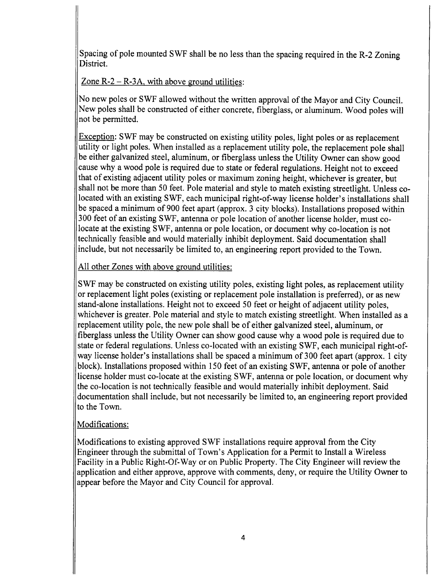Spacing of pole mounted SWF shall be no less than the spacing required in the R-2 Zoning District.

Zone  $R - 2 - R - 3A$ , with above ground utilities:

No new poles or SWF allowed without the written approval of the Mayor and City Council. New poles shall be constructed of either concrete, fiberglass, or aluminum. Wood poles will not be permitted.

Exception: SWF may be constructed on existing utility poles, light poles or as replacement utility or light poles. When installed as a replacement utility pole, the replacement pole shall be either galvanized steel, aluminum, or fiberglass unless the Utility Owner can show good cause why a wood pole is required due to state or federal regulations. Height not to exceed that of existing adjacent utility poles or maximum zoning height, whichever is greater, but shall not be more than 50 feet. Pole material and style to match existing streetlight. Unless colocated with an existing SWF, each municipal right-of-way license holder's installations shall be spaced <sup>a</sup> minimum of 900 feet apart ( approx. <sup>3</sup> city blocks). Installations proposed within 300 feet of an existing SWF, antenna or pole location of another license holder, must colocate at the existing SWF, antenna or pole location, or document why co- location is not technically feasible and would materially inhibit deployment. Said documentation shall include, but not necessarily be limited to, an engineering report provided to the Town.

All other Zones with above ground utilities:

SWF may be constructed on existing utility poles, existing light poles, as replacement utility or replacement light poles ( existing or replacement pole installation is preferred), or as new stand- alone installations. Height not to exceed 50 feet or height of adjacent utility poles, whichever is greater. Pole material and style to match existing streetlight. When installed as a replacement utility pole, the new pole shall be of either galvanized steel, aluminum, or fiberglass unless the Utility Owner can show good cause why a wood pole is required due to state or federal regulations. Unless co- located with an existing SWF, each municipal right-ofway license holder's installations shall be spaced a minimum of 300 feet apart (approx. 1 city block). Installations proposed within <sup>150</sup> feet of an existing SWF, antenna or pole of another license holder must co-locate at the existing SWF, antenna or pole location, or document why the co- location is not technically feasible and would materially inhibit deployment. Said documentation shall include, but not necessarily be limited to, an engineering report provided to the Town.

## Modifications:

Modifications to existing approved SWF installations require approval from the City Engineer through the submittal of Town's Application for a Permit to Install a Wireless Facility in a Public Right-Of-Way or on Public Property. The City Engineer will review the application and either approve, approve with comments, deny, or require the Utility Owner to appear before the Mayor and City Council for approval.